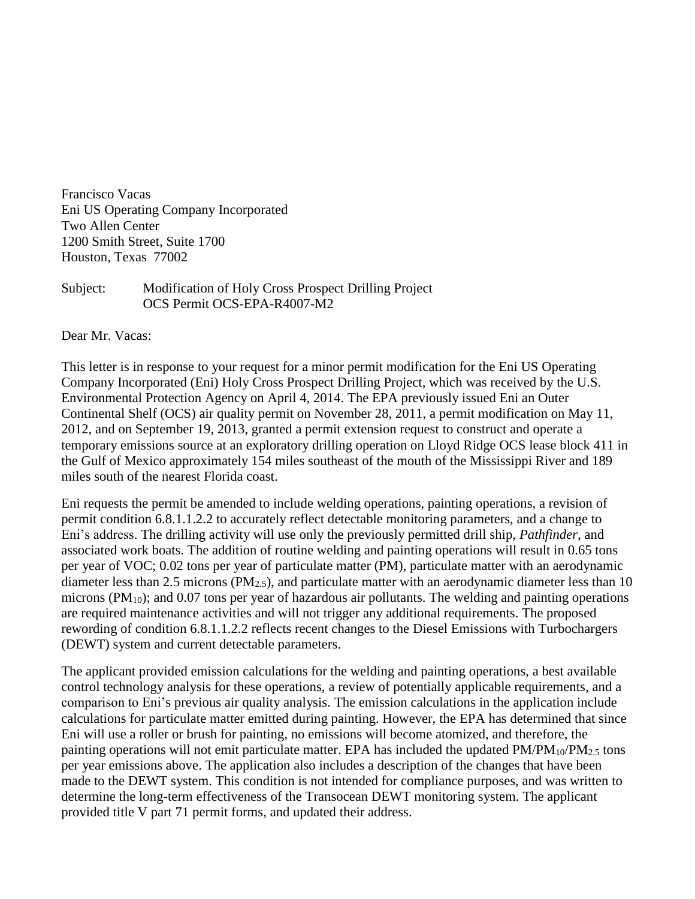Francisco Vacas Eni US Operating Company Incorporated Two Allen Center 1200 Smith Street, Suite 1700 Houston, Texas 77002

## Subject: Modification of Holy Cross Prospect Drilling Project OCS Permit OCS-EPA-R4007-M2

Dear Mr. Vacas:

This letter is in response to your request for a minor permit modification for the Eni US Operating Company Incorporated (Eni) Holy Cross Prospect Drilling Project, which was received by the U.S. Environmental Protection Agency on April 4, 2014. The EPA previously issued Eni an Outer Continental Shelf (OCS) air quality permit on November 28, 2011, a permit modification on May 11, 2012, and on September 19, 2013, granted a permit extension request to construct and operate a temporary emissions source at an exploratory drilling operation on Lloyd Ridge OCS lease block 411 in the Gulf of Mexico approximately 154 miles southeast of the mouth of the Mississippi River and 189 miles south of the nearest Florida coast.

Eni requests the permit be amended to include welding operations, painting operations, a revision of permit condition 6.8.1.1.2.2 to accurately reflect detectable monitoring parameters, and a change to Eni's address. The drilling activity will use only the previously permitted drill ship, *Pathfinder*, and associated work boats. The addition of routine welding and painting operations will result in 0.65 tons per year of VOC; 0.02 tons per year of particulate matter (PM), particulate matter with an aerodynamic diameter less than 2.5 microns ( $PM<sub>2.5</sub>$ ), and particulate matter with an aerodynamic diameter less than 10 microns (PM<sub>10</sub>); and 0.07 tons per year of hazardous air pollutants. The welding and painting operations are required maintenance activities and will not trigger any additional requirements. The proposed rewording of condition 6.8.1.1.2.2 reflects recent changes to the Diesel Emissions with Turbochargers (DEWT) system and current detectable parameters.

The applicant provided emission calculations for the welding and painting operations, a best available control technology analysis for these operations, a review of potentially applicable requirements, and a comparison to Eni's previous air quality analysis. The emission calculations in the application include calculations for particulate matter emitted during painting. However, the EPA has determined that since Eni will use a roller or brush for painting, no emissions will become atomized, and therefore, the painting operations will not emit particulate matter. EPA has included the updated  $PM/PM_{10}/PM_{2.5}$  tons per year emissions above. The application also includes a description of the changes that have been made to the DEWT system. This condition is not intended for compliance purposes, and was written to determine the long-term effectiveness of the Transocean DEWT monitoring system. The applicant provided title V part 71 permit forms, and updated their address.